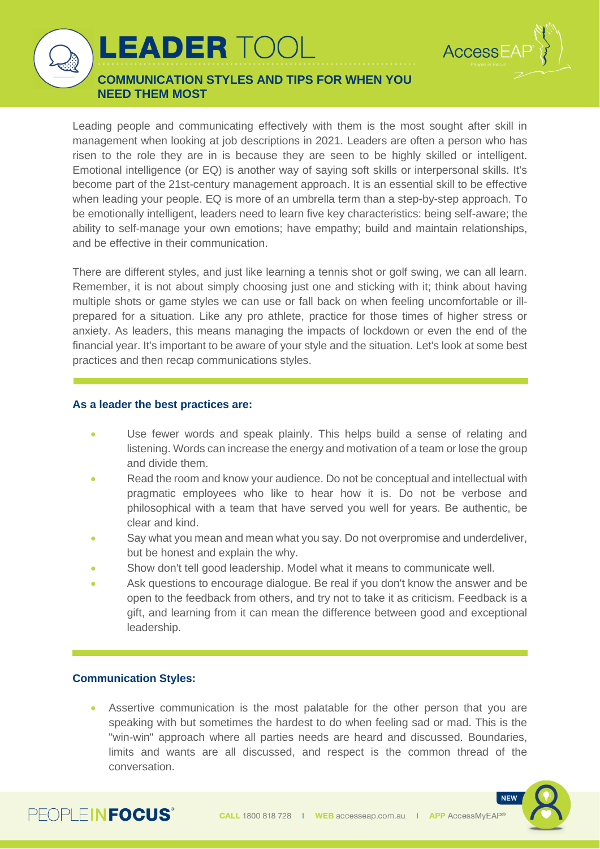

**COMMUNICATION STYLES AND TIPS FOR WHEN YOU NEED THEM MOST**

**LEADER TOO** 

Leading people and communicating effectively with them is the most sought after skill in management when looking at job descriptions in 2021. Leaders are often a person who has risen to the role they are in is because they are seen to be highly skilled or intelligent. Emotional intelligence (or EQ) is another way of saying soft skills or interpersonal skills. It's become part of the 21st-century management approach. It is an essential skill to be effective when leading your people. EQ is more of an umbrella term than a step-by-step approach. To be emotionally intelligent, leaders need to learn five key characteristics: being self-aware; the ability to self-manage your own emotions; have empathy; build and maintain relationships, and be effective in their communication.

There are different styles, and just like learning a tennis shot or golf swing, we can all learn. Remember, it is not about simply choosing just one and sticking with it; think about having multiple shots or game styles we can use or fall back on when feeling uncomfortable or illprepared for a situation. Like any pro athlete, practice for those times of higher stress or anxiety. As leaders, this means managing the impacts of lockdown or even the end of the financial year. It's important to be aware of your style and the situation. Let's look at some best practices and then recap communications styles.

## **As a leader the best practices are:**

- Use fewer words and speak plainly. This helps build a sense of relating and listening. Words can increase the energy and motivation of a team or lose the group and divide them.
- Read the room and know your audience. Do not be conceptual and intellectual with pragmatic employees who like to hear how it is. Do not be verbose and philosophical with a team that have served you well for years. Be authentic, be clear and kind.
- Say what you mean and mean what you say. Do not overpromise and underdeliver, but be honest and explain the why.
- Show don't tell good leadership. Model what it means to communicate well.
- Ask questions to encourage dialogue. Be real if you don't know the answer and be open to the feedback from others, and try not to take it as criticism. Feedback is a gift, and learning from it can mean the difference between good and exceptional leadership.

## **Communication Styles:**

Assertive communication is the most palatable for the other person that you are speaking with but sometimes the hardest to do when feeling sad or mad. This is the "win-win" approach where all parties needs are heard and discussed. Boundaries, limits and wants are all discussed, and respect is the common thread of the conversation.